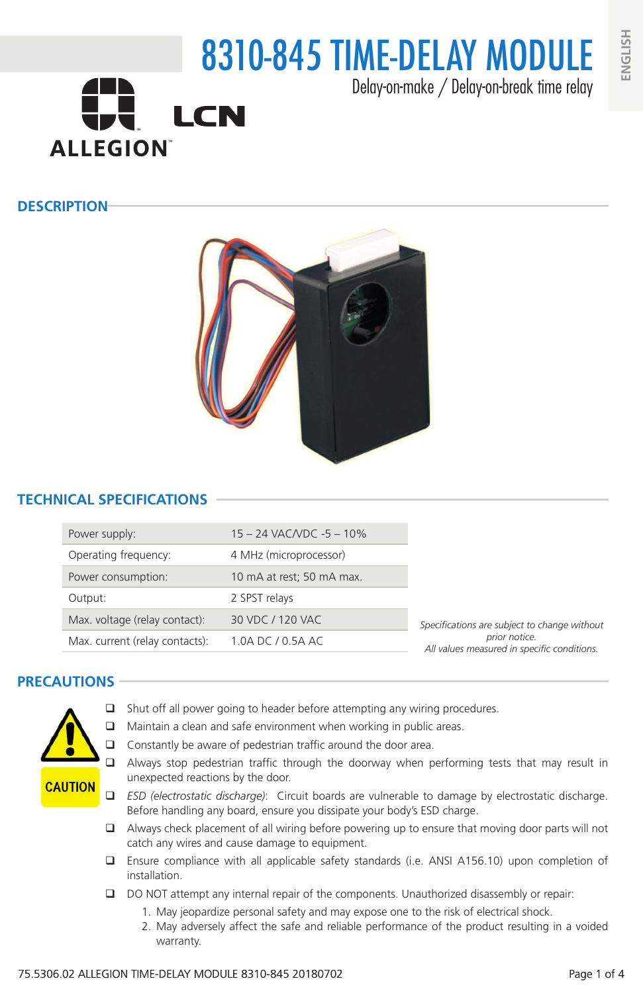

### **DESCRIPTION**



## **TECHNICAL SPECIFICATIONS**

| Power supply:                  | 15 - 24 VAC/VDC -5 - 10%  |                                                              |  |
|--------------------------------|---------------------------|--------------------------------------------------------------|--|
| Operating frequency:           | 4 MHz (microprocessor)    |                                                              |  |
| Power consumption:             | 10 mA at rest; 50 mA max. |                                                              |  |
| Output:                        | 2 SPST relays             |                                                              |  |
| Max. voltage (relay contact):  | 30 VDC / 120 VAC          | Specifications are subject to change without                 |  |
| Max. current (relay contacts): | 1.0A DC / 0.5A AC         | prior notice.<br>All values measured in specific conditions. |  |

### **PRECAUTIONS**



- $\Box$  Shut off all power going to header before attempting any wiring procedures.
- $\Box$  Maintain a clean and safe environment when working in public areas.
- $\Box$  Constantly be aware of pedestrian traffic around the door area.
- Always stop pedestrian traffic through the doorway when performing tests that may result in unexpected reactions by the door.
- *ESD (electrostatic discharge)*: Circuit boards are vulnerable to damage by electrostatic discharge. Before handling any board, ensure you dissipate your body's ESD charge.
- $\Box$  Always check placement of all wiring before powering up to ensure that moving door parts will not catch any wires and cause damage to equipment.
- Ensure compliance with all applicable safety standards (i.e. ANSI A156.10) upon completion of installation.
- DO NOT attempt any internal repair of the components. Unauthorized disassembly or repair:
	- 1. May jeopardize personal safety and may expose one to the risk of electrical shock.
	- 2. May adversely affect the safe and reliable performance of the product resulting in a voided warranty.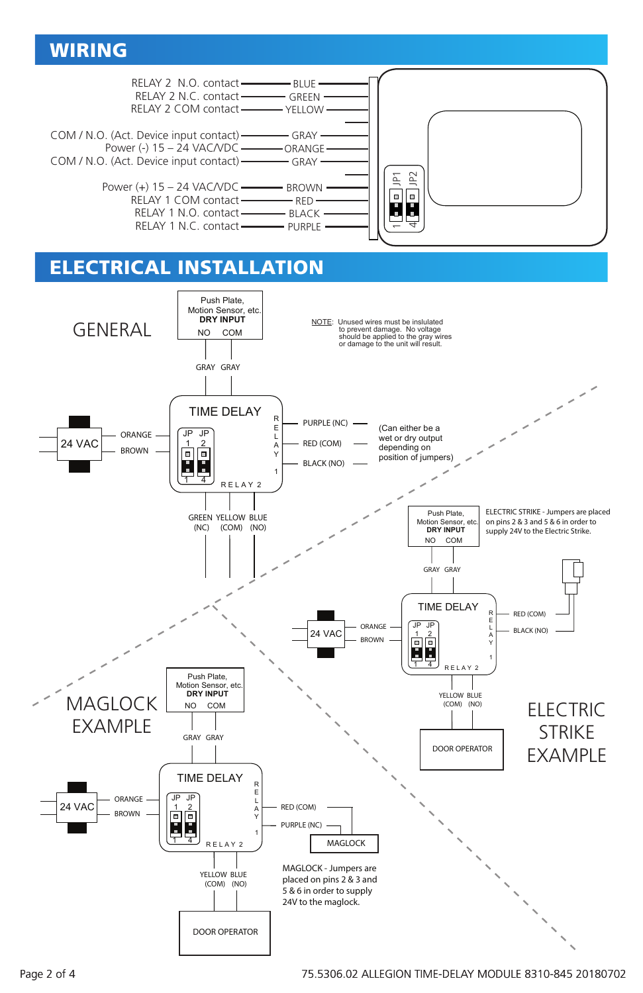# WIRING



# ELECTRICAL INSTALLATION

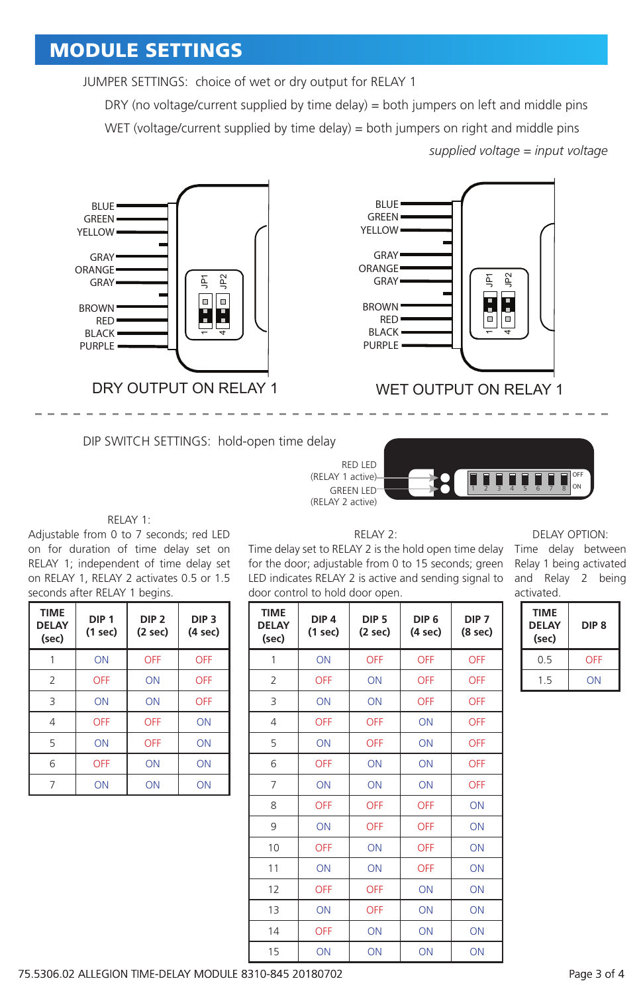# MODULE SETTINGS

JUMPER SETTINGS: choice of wet or dry output for RELAY 1

DRY (no voltage/current supplied by time delay) = both jumpers on left and middle pins WET (voltage/current supplied by time delay) = both jumpers on right and middle pins *supplied voltage = input voltage*



DIP SWITCH SETTINGS: hold-open time delay



WET OUTPUT ON RELAY 1



#### RELAY 1:

Adjustable from 0 to 7 seconds; red LED on for duration of time delay set on RELAY 1; independent of time delay set on RELAY 1, RELAY 2 activates 0.5 or 1.5 seconds after RELAY 1 begins.

| <b>TIME</b><br><b>DELAY</b><br>(sec) | DIP <sub>1</sub><br>$(1$ sec $)$ | DIP <sub>2</sub><br>$(2 \text{ sec})$ | DIP <sub>3</sub><br>(4 sec) |
|--------------------------------------|----------------------------------|---------------------------------------|-----------------------------|
|                                      | ON                               | OFF                                   | OFF                         |
| 2                                    | OFF                              | ON                                    | OFF                         |
| 3                                    | ON                               | ON                                    | OFF                         |
| $\overline{4}$                       | OFF                              | OFF                                   | ON                          |
| 5                                    | ON                               | OFF                                   | ON                          |
| 6                                    | OFF                              | ON                                    | ON                          |
|                                      | ON                               | ΟN                                    | ΟN                          |

RELAY 2:

Time delay set to RELAY 2 is the hold open time delay Time delay between for the door; adjustable from 0 to 15 seconds; green LED indicates RELAY 2 is active and sending signal to door control to hold door open.

| <b>TIME</b><br><b>DELAY</b><br>(sec) | DIP <sub>4</sub><br>(1 sec) | DIP <sub>5</sub><br>(2 sec) | DIP <sub>6</sub><br>(4 sec) | DIP <sub>7</sub><br>(8 sec) |
|--------------------------------------|-----------------------------|-----------------------------|-----------------------------|-----------------------------|
| 1                                    | ON                          | OFF                         | OFF                         | OFF                         |
| 2                                    | OFF                         | ON                          | OFF                         | OFF                         |
| 3                                    | ON                          | ON                          | OFF                         | OFF                         |
| 4                                    | OFF                         | OFF                         | ON                          | OFF                         |
| 5                                    | ON                          | OFF                         | ON                          | OFF                         |
| 6                                    | <b>OFF</b>                  | ON                          | ON                          | OFF                         |
| 7                                    | ON                          | ON                          | ON                          | OFF                         |
| 8                                    | OFF                         | OFF                         | OFF                         | ON                          |
| 9                                    | ON                          | OFF                         | OFF                         | ON                          |
| 10                                   | OFF                         | ON                          | OFF                         | ON                          |
| 11                                   | ON                          | ON                          | OFF                         | ON                          |
| 12                                   | OFF                         | OFF                         | ON                          | ON                          |
| 13                                   | ON                          | OFF                         | ON                          | ON                          |
| 14                                   | OFF                         | ON                          | ON                          | ON                          |
| 15                                   | ON                          | ON                          | ON                          | ON                          |

#### DELAY OPTION:

Relay 1 being activated and Relay 2 being activated.

| <b>TIME</b><br><b>DELAY</b><br>(sec) | DIP 8 |
|--------------------------------------|-------|
| 0.5                                  | OFF   |
| 15                                   | ΟN    |